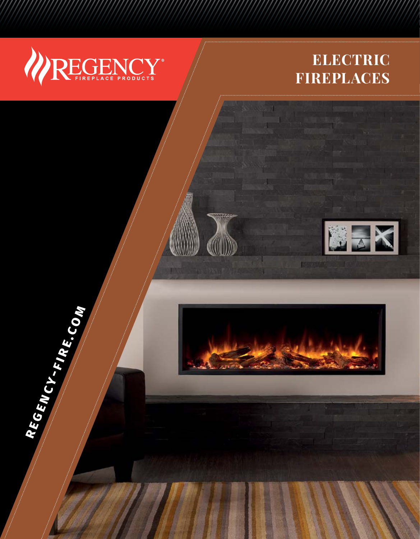

**REGENCY-FIRE.COM** 

## **ELECTRIC FIREPLACES**





**LOW YOUR** 

Ní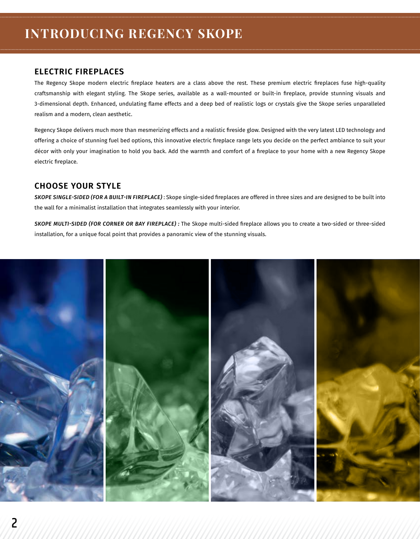## **ELECTRIC FIREPLACES**

The Regency Skope modern electric fireplace heaters are a class above the rest. These premium electric fireplaces fuse high-quality craftsmanship with elegant styling. The Skope series, available as a wall-mounted or built-in fireplace, provide stunning visuals and 3-dimensional depth. Enhanced, undulating flame effects and a deep bed of realistic logs or crystals give the Skope series unparalleled realism and a modern, clean aesthetic.

Regency Skope delivers much more than mesmerizing effects and a realistic fireside glow. Designed with the very latest LED technology and offering a choice of stunning fuel bed options, this innovative electric fireplace range lets you decide on the perfect ambiance to suit your décor with only your imagination to hold you back. Add the warmth and comfort of a fireplace to your home with a new Regency Skope electric fireplace.

## **CHOOSE YOUR STYLE**

*SKOPE SINGLE-SIDED (FOR A BUILT-IN FIREPLACE)* : Skope single-sided fireplaces are offered in three sizes and are designed to be built into the wall for a minimalist installation that integrates seamlessly with your interior.

*SKOPE MULTI-SIDED (FOR CORNER OR BAY FIREPLACE) :* The Skope multi-sided fireplace allows you to create a two-sided or three-sided installation, for a unique focal point that provides a panoramic view of the stunning visuals.

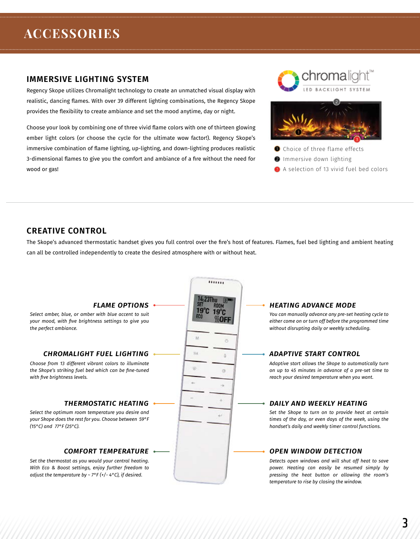## **ACCESSORIES**

### **IMMERSIVE LIGHTING SYSTEM**

Regency Skope utilizes Chromalight technology to create an unmatched visual display with realistic, dancing flames. With over 39 different lighting combinations, the Regency Skope provides the flexibility to create ambiance and set the mood anytime, day or night.

Choose your look by combining one of three vivid flame colors with one of thirteen glowing ember light colors (or choose the cycle for the ultimate wow factor!). Regency Skope's immersive combination of flame lighting, up-lighting, and down-lighting produces realistic 3-dimensional flames to give you the comfort and ambiance of a fire without the need for wood or gas!





- Choice of three flame effects
- **O** Immersive down lighting
- **B** A selection of 13 vivid fuel bed colors

## **CREATIVE CONTROL**

The Skope's advanced thermostatic handset gives you full control over the fire's host of features. Flames, fuel bed lighting and ambient heating can all be controlled independently to create the desired atmosphere with or without heat.

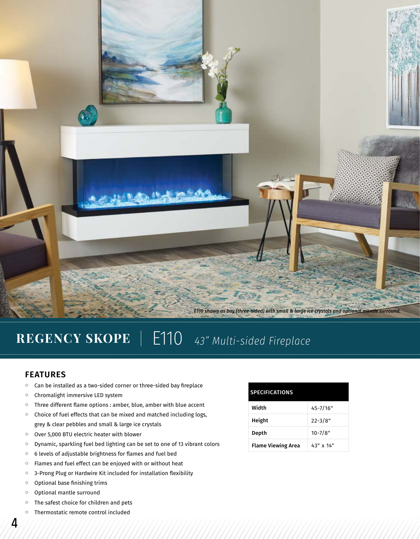

## **REGENCY SKOPE** | E110 *43" Multi-sided Fireplace*

### **FEATURES**

- Can be installed as a two-sided corner or three-sided bay fireplace
- Chromalight immersive LED system
- Three different flame options : amber, blue, amber with blue accent
- Choice of fuel effects that can be mixed and matched including logs, grey & clear pebbles and small & large ice crystals
- Over 5,000 BTU electric heater with blower
- Dynamic, sparkling fuel bed lighting can be set to one of 13 vibrant colors
- 6 levels of adjustable brightness for flames and fuel bed
- Flames and fuel effect can be enjoyed with or without heat
- 3-Prong Plug or Hardwire Kit included for installation flexibility
- Optional base finishing trims
- Optional mantle surround
- The safest choice for children and pets
- Thermostatic remote control included

#### **SPECIFICATIONS**

| Width                     | $45 - 7/16"$ |
|---------------------------|--------------|
| Height                    | $22 - 3/8"$  |
| Depth                     | $10 - 7/8"$  |
| <b>Flame Viewing Area</b> | 43" x 14"    |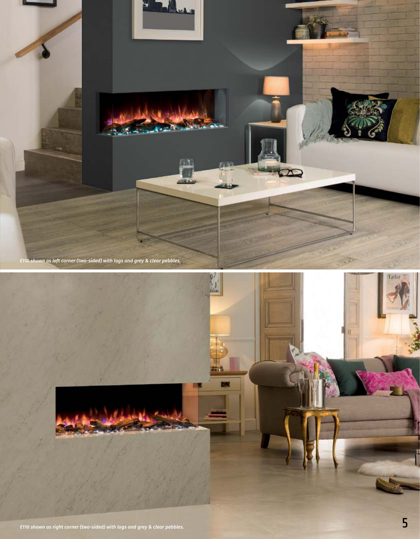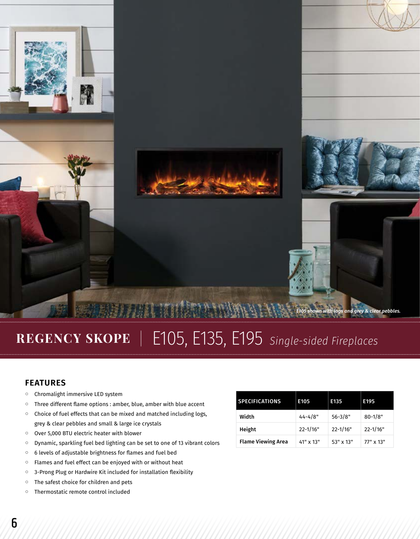

# REGENCY SKOPE | E105, E135, E195 single-sided Fireplaces

### **FEATURES**

- Chromalight immersive LED system
- Three different flame options : amber, blue, amber with blue accent
- Choice of fuel effects that can be mixed and matched including logs, grey & clear pebbles and small & large ice crystals
- Over 5,000 BTU electric heater with blower
- Dynamic, sparkling fuel bed lighting can be set to one of 13 vibrant colors
- 6 levels of adjustable brightness for flames and fuel bed
- Flames and fuel effect can be enjoyed with or without heat
- 3-Prong Plug or Hardwire Kit included for installation flexibility
- The safest choice for children and pets
- Thermostatic remote control included

| <b>SPECIFICATIONS</b>     | E105        | E135         | E195         |
|---------------------------|-------------|--------------|--------------|
| Width                     | $44 - 4/8"$ | $56 - 3/8"$  | $80 - 1/8"$  |
| Height                    | 22-1/16"    | $22 - 1/16"$ | $22 - 1/16"$ |
| <b>Flame Viewing Area</b> | 41" x 13"   | 53" x 13"    | 77" x 13"    |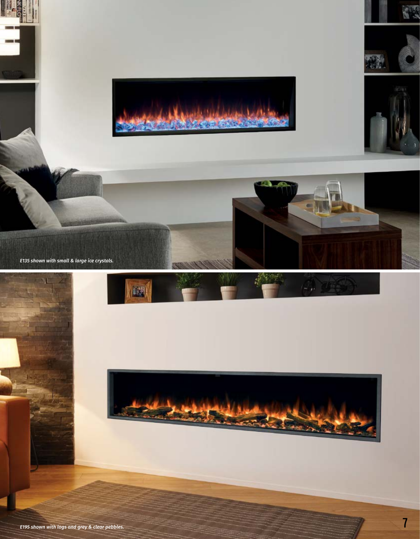